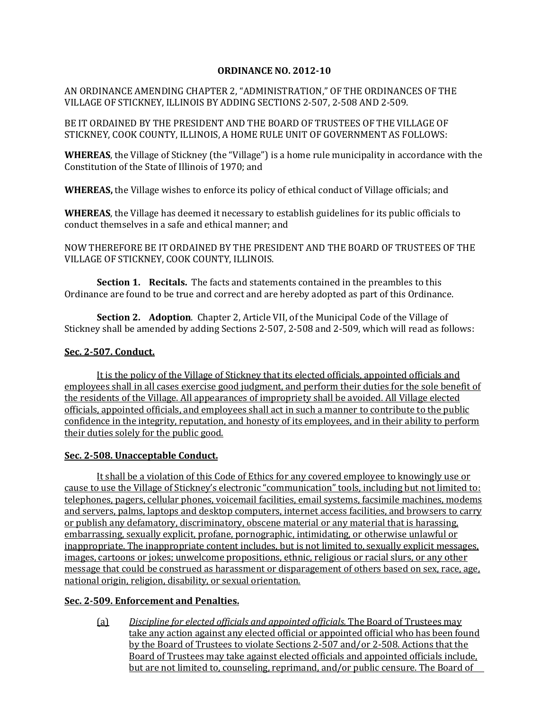### **ORDINANCE NO. 2012-10**

AN ORDINANCE AMENDING CHAPTER 2, "ADMINISTRATION," OF THE ORDINANCES OF THE VILLAGE OF STICKNEY, ILLINOIS BY ADDING SECTIONS 2-507, 2-508 AND 2-509.

BE IT ORDAINED BY THE PRESIDENT AND THE BOARD OF TRUSTEES OF THE VILLAGE OF STICKNEY, COOK COUNTY, ILLINOIS, A HOME RULE UNIT OF GOVERNMENT AS FOLLOWS:

**WHEREAS**, the Village of Stickney (the "Village") is a home rule municipality in accordance with the Constitution of the State of Illinois of 1970; and

**WHEREAS,** the Village wishes to enforce its policy of ethical conduct of Village officials; and

**WHEREAS**, the Village has deemed it necessary to establish guidelines for its public officials to conduct themselves in a safe and ethical manner; and

NOW THEREFORE BE IT ORDAINED BY THE PRESIDENT AND THE BOARD OF TRUSTEES OF THE VILLAGE OF STICKNEY, COOK COUNTY, ILLINOIS.

**Section 1. Recitals.** The facts and statements contained in the preambles to this Ordinance are found to be true and correct and are hereby adopted as part of this Ordinance.

**Section 2. Adoption**. Chapter 2, Article VII, of the Municipal Code of the Village of Stickney shall be amended by adding Sections 2-507, 2-508 and 2-509, which will read as follows:

# **Sec. 2-507. Conduct.**

It is the policy of the Village of Stickney that its elected officials, appointed officials and employees shall in all cases exercise good judgment, and perform their duties for the sole benefit of the residents of the Village. All appearances of impropriety shall be avoided. All Village elected officials, appointed officials, and employees shall act in such a manner to contribute to the public confidence in the integrity, reputation, and honesty of its employees, and in their ability to perform their duties solely for the public good.

## **Sec. 2-508. Unacceptable Conduct.**

It shall be a violation of this Code of Ethics for any covered employee to knowingly use or cause to use the Village of Stickney's electronic "communication" tools, including but not limited to: telephones, pagers, cellular phones, voicemail facilities, email systems, facsimile machines, modems and servers, palms, laptops and desktop computers, internet access facilities, and browsers to carry or publish any defamatory, discriminatory, obscene material or any material that is harassing, embarrassing, sexually explicit, profane, pornographic, intimidating, or otherwise unlawful or inappropriate. The inappropriate content includes, but is not limited to, sexually explicit messages, images, cartoons or jokes; unwelcome propositions, ethnic, religious or racial slurs, or any other message that could be construed as harassment or disparagement of others based on sex, race, age, national origin, religion, disability, or sexual orientation.

## **Sec. 2-509. Enforcement and Penalties.**

(a) *Discipline for elected officials and appointed officials.* The Board of Trustees may take any action against any elected official or appointed official who has been found by the Board of Trustees to violate Sections 2-507 and/or 2-508. Actions that the Board of Trustees may take against elected officials and appointed officials include, but are not limited to, counseling, reprimand, and/or public censure. The Board of